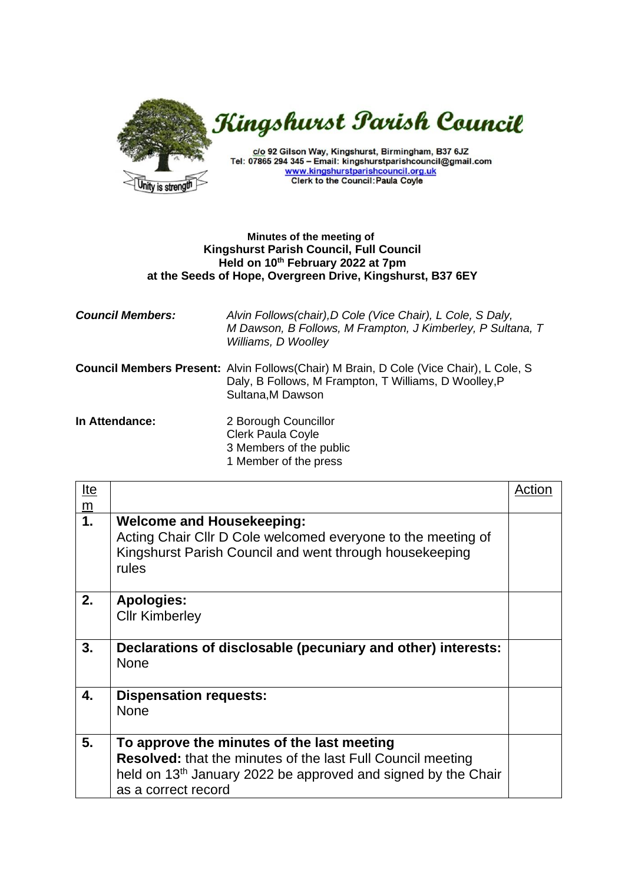

## **Minutes of the meeting of Kingshurst Parish Council, Full Council Held on 10th February 2022 at 7pm at the Seeds of Hope, Overgreen Drive, Kingshurst, B37 6EY**

| <b>Council Members:</b> | Alvin Follows(chair), D Cole (Vice Chair), L Cole, S Daly,<br>M Dawson, B Follows, M Frampton, J Kimberley, P Sultana, T<br>Williams, D Woolley                            |
|-------------------------|----------------------------------------------------------------------------------------------------------------------------------------------------------------------------|
|                         | <b>Council Members Present:</b> Alvin Follows(Chair) M Brain, D Cole (Vice Chair), L Cole, S<br>Daly, B Follows, M Frampton, T Williams, D Woolley, P<br>Sultana, M Dawson |
| In Attendance:          | 2 Borough Councillor<br><b>Clerk Paula Coyle</b><br>3 Members of the public<br>1 Member of the press                                                                       |

| <u>Ite</u>                        |                                                                                                                                                                                                                      | Action |
|-----------------------------------|----------------------------------------------------------------------------------------------------------------------------------------------------------------------------------------------------------------------|--------|
| $\underline{\underline{m}}$<br>1. | <b>Welcome and Housekeeping:</b><br>Acting Chair Cllr D Cole welcomed everyone to the meeting of<br>Kingshurst Parish Council and went through housekeeping<br>rules                                                 |        |
| 2.                                | <b>Apologies:</b><br><b>Cllr Kimberley</b>                                                                                                                                                                           |        |
| 3.                                | Declarations of disclosable (pecuniary and other) interests:<br><b>None</b>                                                                                                                                          |        |
| 4.                                | <b>Dispensation requests:</b><br><b>None</b>                                                                                                                                                                         |        |
| 5.                                | To approve the minutes of the last meeting<br><b>Resolved:</b> that the minutes of the last Full Council meeting<br>held on 13 <sup>th</sup> January 2022 be approved and signed by the Chair<br>as a correct record |        |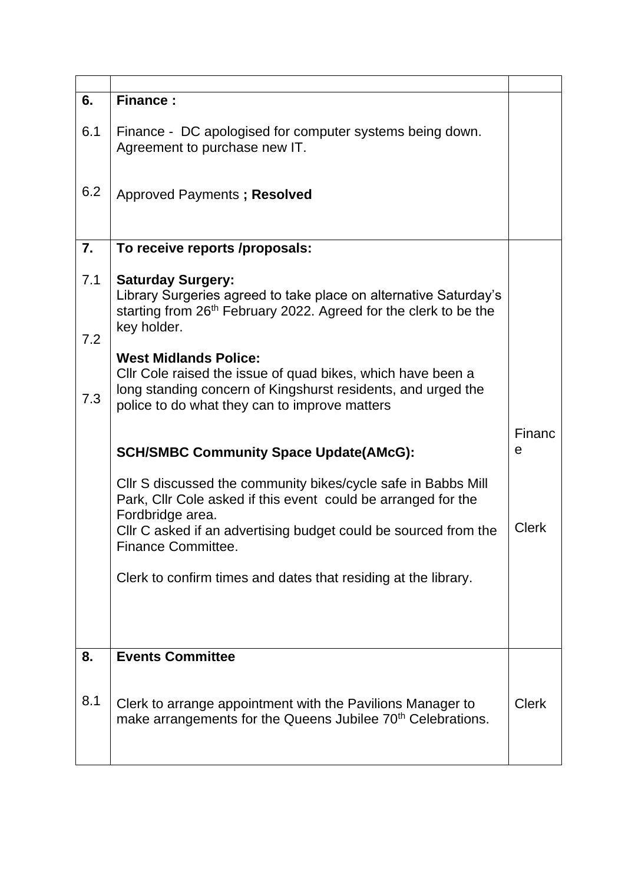| 6.         | <b>Finance:</b>                                                                                                                                                                                              |              |
|------------|--------------------------------------------------------------------------------------------------------------------------------------------------------------------------------------------------------------|--------------|
| 6.1        | Finance - DC apologised for computer systems being down.<br>Agreement to purchase new IT.                                                                                                                    |              |
| 6.2        | Approved Payments; Resolved                                                                                                                                                                                  |              |
| 7.         | To receive reports /proposals:                                                                                                                                                                               |              |
| 7.1<br>7.2 | <b>Saturday Surgery:</b><br>Library Surgeries agreed to take place on alternative Saturday's<br>starting from 26 <sup>th</sup> February 2022. Agreed for the clerk to be the<br>key holder.                  |              |
| 7.3        | <b>West Midlands Police:</b><br>Cllr Cole raised the issue of quad bikes, which have been a<br>long standing concern of Kingshurst residents, and urged the<br>police to do what they can to improve matters |              |
|            | <b>SCH/SMBC Community Space Update(AMcG):</b>                                                                                                                                                                | Financ<br>e  |
|            | CIIr S discussed the community bikes/cycle safe in Babbs Mill<br>Park, Cllr Cole asked if this event could be arranged for the<br>Fordbridge area.                                                           |              |
|            | CIIr C asked if an advertising budget could be sourced from the<br><b>Finance Committee.</b>                                                                                                                 | <b>Clerk</b> |
|            | Clerk to confirm times and dates that residing at the library.                                                                                                                                               |              |
| 8.         | <b>Events Committee</b>                                                                                                                                                                                      |              |
| 8.1        | Clerk to arrange appointment with the Pavilions Manager to<br>make arrangements for the Queens Jubilee 70 <sup>th</sup> Celebrations.                                                                        | <b>Clerk</b> |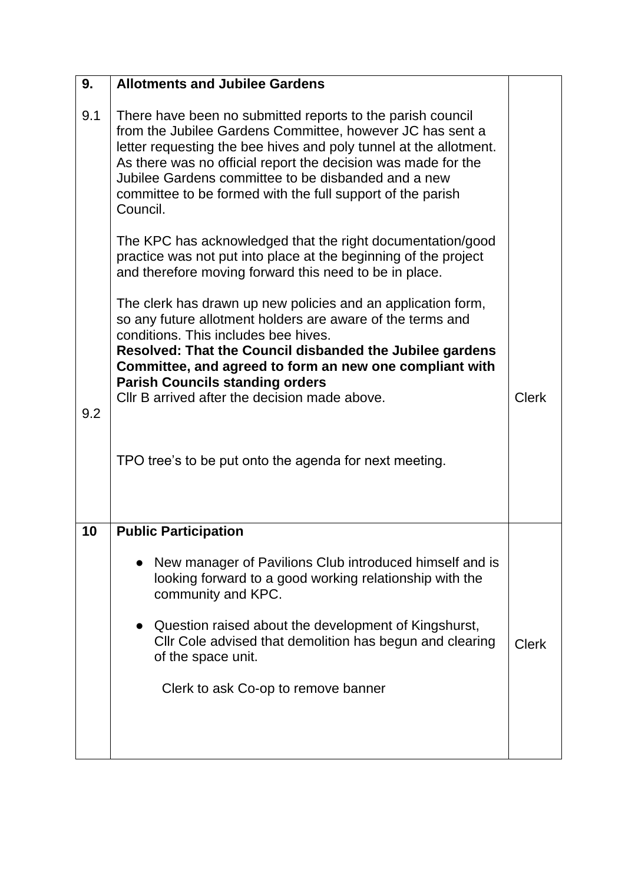| 9.  | <b>Allotments and Jubilee Gardens</b>                                                                                                                                                                                                                                                                                                                                                          |              |
|-----|------------------------------------------------------------------------------------------------------------------------------------------------------------------------------------------------------------------------------------------------------------------------------------------------------------------------------------------------------------------------------------------------|--------------|
| 9.1 | There have been no submitted reports to the parish council<br>from the Jubilee Gardens Committee, however JC has sent a<br>letter requesting the bee hives and poly tunnel at the allotment.<br>As there was no official report the decision was made for the<br>Jubilee Gardens committee to be disbanded and a new<br>committee to be formed with the full support of the parish<br>Council. |              |
|     | The KPC has acknowledged that the right documentation/good<br>practice was not put into place at the beginning of the project<br>and therefore moving forward this need to be in place.                                                                                                                                                                                                        |              |
| 9.2 | The clerk has drawn up new policies and an application form,<br>so any future allotment holders are aware of the terms and<br>conditions. This includes bee hives.<br>Resolved: That the Council disbanded the Jubilee gardens<br>Committee, and agreed to form an new one compliant with<br><b>Parish Councils standing orders</b><br>CIIr B arrived after the decision made above.           | <b>Clerk</b> |
|     | TPO tree's to be put onto the agenda for next meeting.                                                                                                                                                                                                                                                                                                                                         |              |
| 10  | <b>Public Participation</b>                                                                                                                                                                                                                                                                                                                                                                    |              |
|     | • New manager of Pavilions Club introduced himself and is<br>looking forward to a good working relationship with the<br>community and KPC.                                                                                                                                                                                                                                                     |              |
|     | Question raised about the development of Kingshurst,<br>Cllr Cole advised that demolition has begun and clearing<br>of the space unit.                                                                                                                                                                                                                                                         | <b>Clerk</b> |
|     | Clerk to ask Co-op to remove banner                                                                                                                                                                                                                                                                                                                                                            |              |